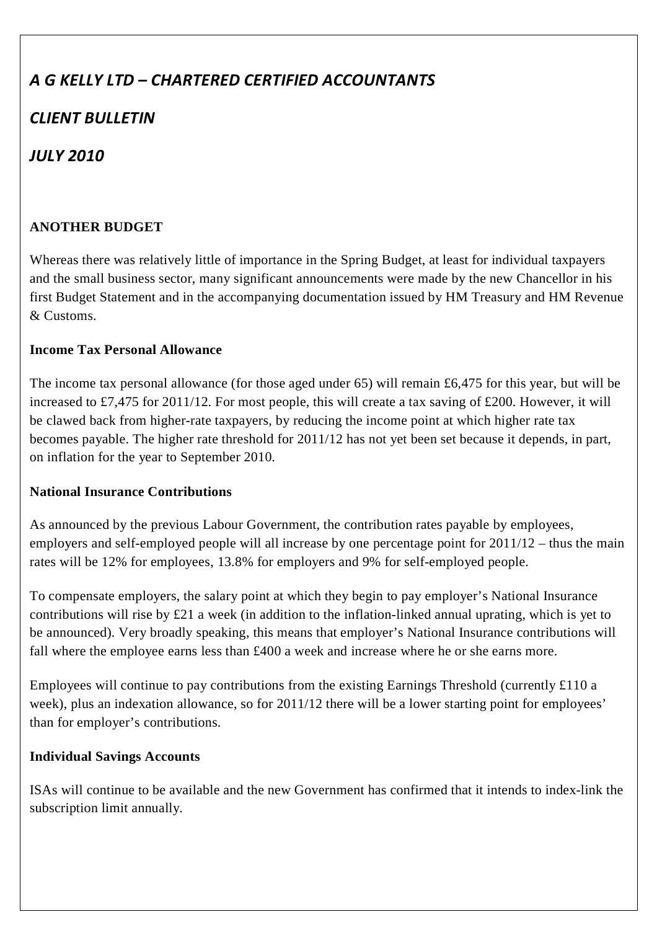# *A G KELLY LTD – CHARTERED CERTIFIED ACCOUNTANTS*

# *CLIENT BULLETIN*

# *JULY 2010*

# **ANOTHER BUDGET**

Whereas there was relatively little of importance in the Spring Budget, at least for individual taxpayers and the small business sector, many significant announcements were made by the new Chancellor in his first Budget Statement and in the accompanying documentation issued by HM Treasury and HM Revenue & Customs.

#### **Income Tax Personal Allowance**

The income tax personal allowance (for those aged under 65) will remain £6,475 for this year, but will be increased to £7,475 for 2011/12. For most people, this will create a tax saving of £200. However, it will be clawed back from higher-rate taxpayers, by reducing the income point at which higher rate tax becomes payable. The higher rate threshold for 2011/12 has not yet been set because it depends, in part, on inflation for the year to September 2010.

#### **National Insurance Contributions**

As announced by the previous Labour Government, the contribution rates payable by employees, employers and self-employed people will all increase by one percentage point for 2011/12 – thus the main rates will be 12% for employees, 13.8% for employers and 9% for self-employed people.

To compensate employers, the salary point at which they begin to pay employer's National Insurance contributions will rise by £21 a week (in addition to the inflation-linked annual uprating, which is yet to be announced). Very broadly speaking, this means that employer's National Insurance contributions will fall where the employee earns less than £400 a week and increase where he or she earns more.

Employees will continue to pay contributions from the existing Earnings Threshold (currently £110 a week), plus an indexation allowance, so for 2011/12 there will be a lower starting point for employees' than for employer's contributions.

### **Individual Savings Accounts**

ISAs will continue to be available and the new Government has confirmed that it intends to index-link the subscription limit annually.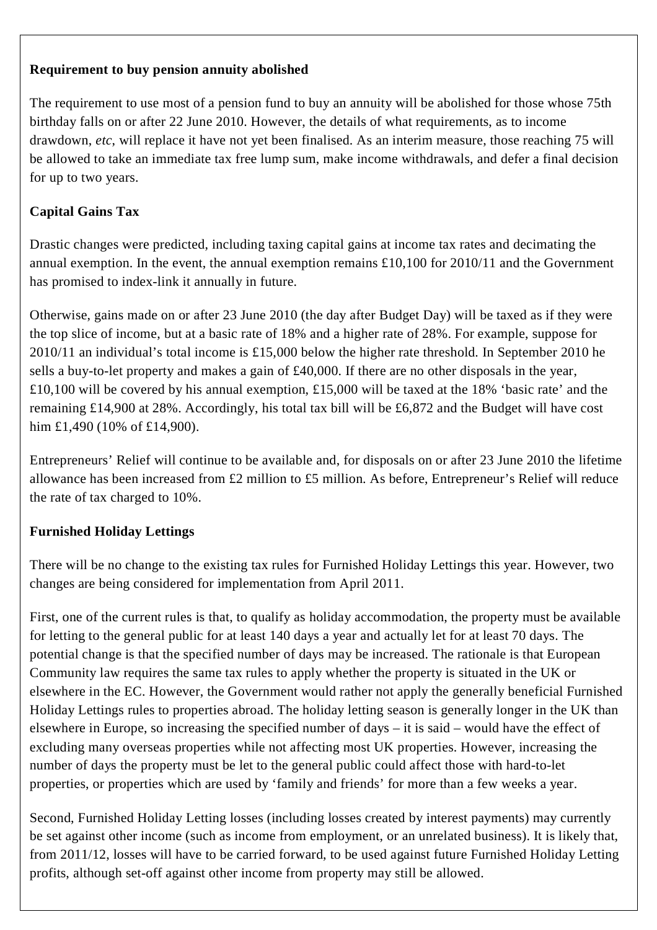#### **Requirement to buy pension annuity abolished**

The requirement to use most of a pension fund to buy an annuity will be abolished for those whose 75th birthday falls on or after 22 June 2010. However, the details of what requirements, as to income drawdown, *etc*, will replace it have not yet been finalised. As an interim measure, those reaching 75 will be allowed to take an immediate tax free lump sum, make income withdrawals, and defer a final decision for up to two years.

# **Capital Gains Tax**

Drastic changes were predicted, including taxing capital gains at income tax rates and decimating the annual exemption. In the event, the annual exemption remains £10,100 for 2010/11 and the Government has promised to index-link it annually in future.

Otherwise, gains made on or after 23 June 2010 (the day after Budget Day) will be taxed as if they were the top slice of income, but at a basic rate of 18% and a higher rate of 28%. For example, suppose for 2010/11 an individual's total income is £15,000 below the higher rate threshold. In September 2010 he sells a buy-to-let property and makes a gain of £40,000. If there are no other disposals in the year, £10,100 will be covered by his annual exemption, £15,000 will be taxed at the 18% 'basic rate' and the remaining £14,900 at 28%. Accordingly, his total tax bill will be £6,872 and the Budget will have cost him £1,490 (10% of £14,900).

Entrepreneurs' Relief will continue to be available and, for disposals on or after 23 June 2010 the lifetime allowance has been increased from £2 million to £5 million. As before, Entrepreneur's Relief will reduce the rate of tax charged to 10%.

### **Furnished Holiday Lettings**

There will be no change to the existing tax rules for Furnished Holiday Lettings this year. However, two changes are being considered for implementation from April 2011.

First, one of the current rules is that, to qualify as holiday accommodation, the property must be available for letting to the general public for at least 140 days a year and actually let for at least 70 days. The potential change is that the specified number of days may be increased. The rationale is that European Community law requires the same tax rules to apply whether the property is situated in the UK or elsewhere in the EC. However, the Government would rather not apply the generally beneficial Furnished Holiday Lettings rules to properties abroad. The holiday letting season is generally longer in the UK than elsewhere in Europe, so increasing the specified number of days – it is said – would have the effect of excluding many overseas properties while not affecting most UK properties. However, increasing the number of days the property must be let to the general public could affect those with hard-to-let properties, or properties which are used by 'family and friends' for more than a few weeks a year.

Second, Furnished Holiday Letting losses (including losses created by interest payments) may currently be set against other income (such as income from employment, or an unrelated business). It is likely that, from 2011/12, losses will have to be carried forward, to be used against future Furnished Holiday Letting profits, although set-off against other income from property may still be allowed.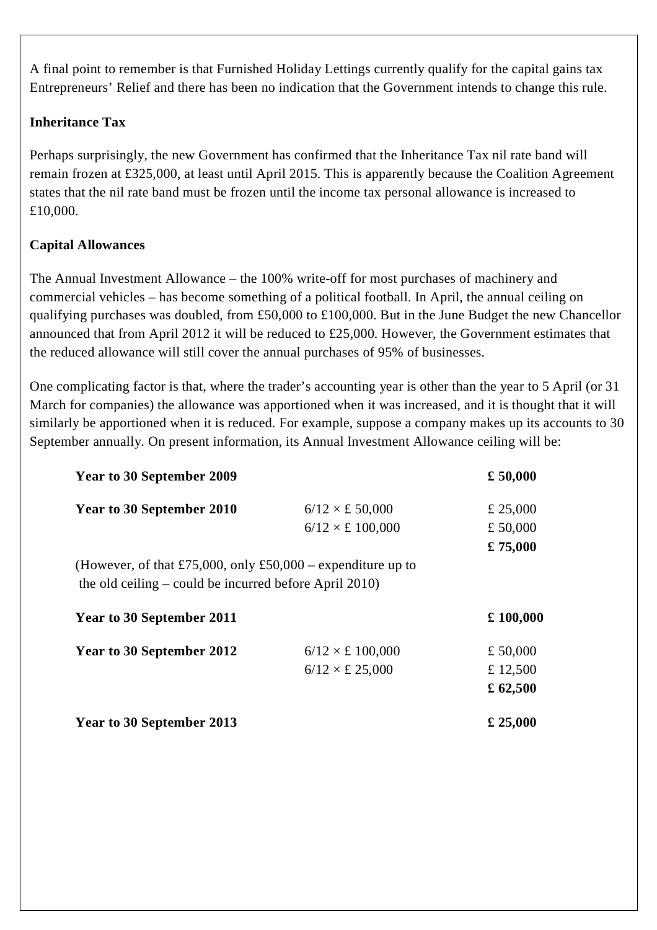A final point to remember is that Furnished Holiday Lettings currently qualify for the capital gains tax Entrepreneurs' Relief and there has been no indication that the Government intends to change this rule.

#### **Inheritance Tax**

Perhaps surprisingly, the new Government has confirmed that the Inheritance Tax nil rate band will remain frozen at £325,000, at least until April 2015. This is apparently because the Coalition Agreement states that the nil rate band must be frozen until the income tax personal allowance is increased to £10,000.

### **Capital Allowances**

The Annual Investment Allowance – the 100% write-off for most purchases of machinery and commercial vehicles – has become something of a political football. In April, the annual ceiling on qualifying purchases was doubled, from £50,000 to £100,000. But in the June Budget the new Chancellor announced that from April 2012 it will be reduced to £25,000. However, the Government estimates that the reduced allowance will still cover the annual purchases of 95% of businesses.

One complicating factor is that, where the trader's accounting year is other than the year to 5 April (or 31 March for companies) the allowance was apportioned when it was increased, and it is thought that it will similarly be apportioned when it is reduced. For example, suppose a company makes up its accounts to 30 September annually. On present information, its Annual Investment Allowance ceiling will be:

| <b>Year to 30 September 2009</b>                                                                                        |                               | £ 50,000   |
|-------------------------------------------------------------------------------------------------------------------------|-------------------------------|------------|
| <b>Year to 30 September 2010</b>                                                                                        | $6/12 \times \pounds 50,000$  | £ 25,000   |
|                                                                                                                         | $6/12 \times £100,000$        | £ 50,000   |
|                                                                                                                         |                               | £75,000    |
| (However, of that £75,000, only £50,000 – expenditure up to<br>the old ceiling $-$ could be incurred before April 2010) |                               |            |
| <b>Year to 30 September 2011</b>                                                                                        |                               | £100,000   |
| Year to 30 September 2012                                                                                               | $6/12 \times \pounds 100,000$ | £ 50,000   |
|                                                                                                                         | $6/12 \times \pounds 25,000$  | £ 12,500   |
|                                                                                                                         |                               | £ $62,500$ |
| <b>Year to 30 September 2013</b>                                                                                        |                               | £ 25,000   |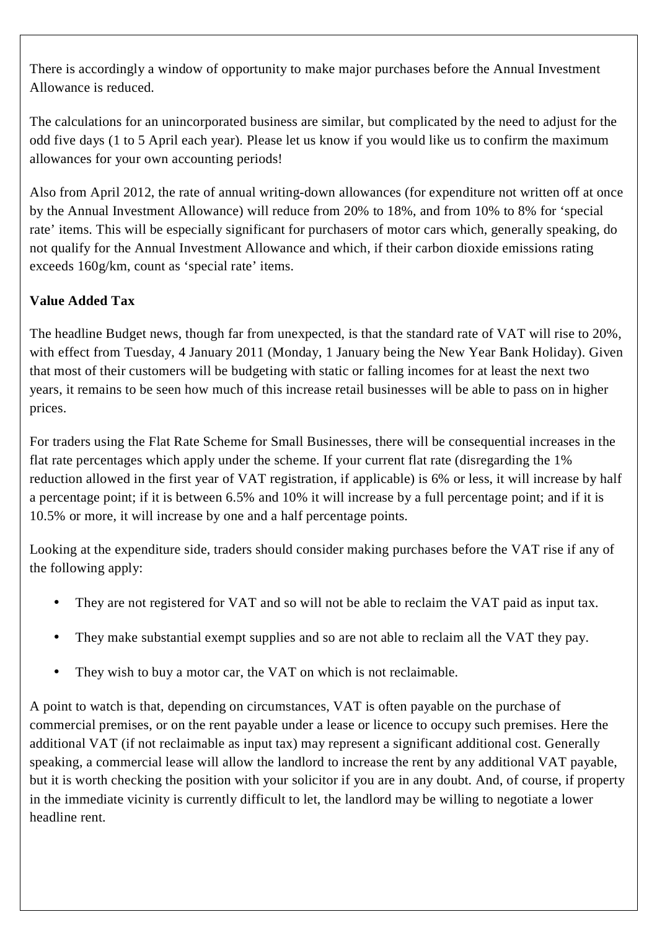There is accordingly a window of opportunity to make major purchases before the Annual Investment Allowance is reduced.

The calculations for an unincorporated business are similar, but complicated by the need to adjust for the odd five days (1 to 5 April each year). Please let us know if you would like us to confirm the maximum allowances for your own accounting periods!

Also from April 2012, the rate of annual writing-down allowances (for expenditure not written off at once by the Annual Investment Allowance) will reduce from 20% to 18%, and from 10% to 8% for 'special rate' items. This will be especially significant for purchasers of motor cars which, generally speaking, do not qualify for the Annual Investment Allowance and which, if their carbon dioxide emissions rating exceeds 160g/km, count as 'special rate' items.

# **Value Added Tax**

The headline Budget news, though far from unexpected, is that the standard rate of VAT will rise to 20%, with effect from Tuesday, 4 January 2011 (Monday, 1 January being the New Year Bank Holiday). Given that most of their customers will be budgeting with static or falling incomes for at least the next two years, it remains to be seen how much of this increase retail businesses will be able to pass on in higher prices.

For traders using the Flat Rate Scheme for Small Businesses, there will be consequential increases in the flat rate percentages which apply under the scheme. If your current flat rate (disregarding the 1% reduction allowed in the first year of VAT registration, if applicable) is 6% or less, it will increase by half a percentage point; if it is between 6.5% and 10% it will increase by a full percentage point; and if it is 10.5% or more, it will increase by one and a half percentage points.

Looking at the expenditure side, traders should consider making purchases before the VAT rise if any of the following apply:

- They are not registered for VAT and so will not be able to reclaim the VAT paid as input tax.
- They make substantial exempt supplies and so are not able to reclaim all the VAT they pay.
- They wish to buy a motor car, the VAT on which is not reclaimable.

A point to watch is that, depending on circumstances, VAT is often payable on the purchase of commercial premises, or on the rent payable under a lease or licence to occupy such premises. Here the additional VAT (if not reclaimable as input tax) may represent a significant additional cost. Generally speaking, a commercial lease will allow the landlord to increase the rent by any additional VAT payable, but it is worth checking the position with your solicitor if you are in any doubt. And, of course, if property in the immediate vicinity is currently difficult to let, the landlord may be willing to negotiate a lower headline rent.